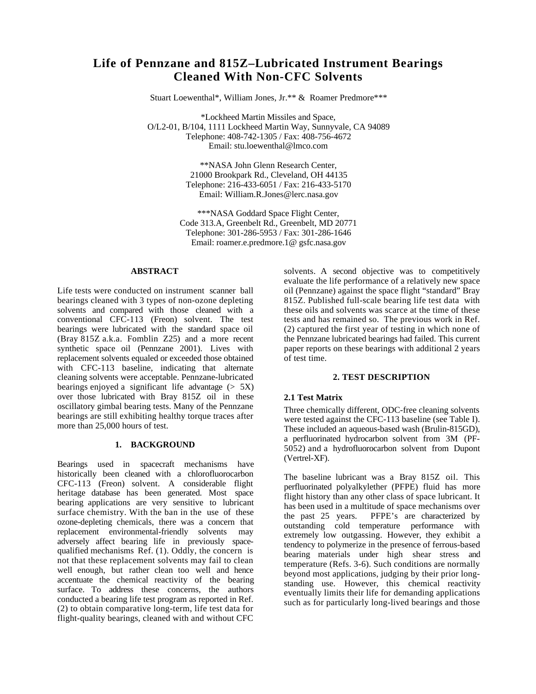# **Life of Pennzane and 815Z–Lubricated Instrument Bearings Cleaned With Non-CFC Solvents**

Stuart Loewenthal\*, William Jones, Jr.\*\* & Roamer Predmore\*\*\*

\*Lockheed Martin Missiles and Space, O/L2-01, B/104, 1111 Lockheed Martin Way, Sunnyvale, CA 94089 Telephone: 408-742-1305 / Fax: 408-756-4672 Email: stu.loewenthal@lmco.com

> \*\*NASA John Glenn Research Center, 21000 Brookpark Rd., Cleveland, OH 44135 Telephone: 216-433-6051 / Fax: 216-433-5170 Email: William.R.Jones@lerc.nasa.gov

\*\*\*NASA Goddard Space Flight Center, Code 313.A, Greenbelt Rd., Greenbelt, MD 20771 Telephone: 301-286-5953 / Fax: 301-286-1646 Email: roamer.e.predmore.1@ gsfc.nasa.gov

#### **ABSTRACT**

Life tests were conducted on instrument scanner ball bearings cleaned with 3 types of non-ozone depleting solvents and compared with those cleaned with a conventional CFC-113 (Freon) solvent. The test bearings were lubricated with the standard space oil (Bray 815Z a.k.a. Fomblin Z25) and a more recent synthetic space oil (Pennzane 2001). Lives with replacement solvents equaled or exceeded those obtained with CFC-113 baseline, indicating that alternate cleaning solvents were acceptable. Pennzane-lubricated bearings enjoyed a significant life advantage  $(5 \text{ K})$ over those lubricated with Bray 815Z oil in these oscillatory gimbal bearing tests. Many of the Pennzane bearings are still exhibiting healthy torque traces after more than 25,000 hours of test.

#### **1. BACKGROUND**

Bearings used in spacecraft mechanisms have historically been cleaned with a chlorofluorocarbon CFC-113 (Freon) solvent. A considerable flight heritage database has been generated. Most space bearing applications are very sensitive to lubricant surface chemistry. With the ban in the use of these ozone-depleting chemicals, there was a concern that replacement environmental-friendly solvents may adversely affect bearing life in previously spacequalified mechanisms Ref. (1). Oddly, the concern is not that these replacement solvents may fail to clean well enough, but rather clean too well and hence accentuate the chemical reactivity of the bearing surface. To address these concerns, the authors conducted a bearing life test program as reported in Ref. (2) to obtain comparative long-term, life test data for flight-quality bearings, cleaned with and without CFC

solvents. A second objective was to competitively evaluate the life performance of a relatively new space oil (Pennzane) against the space flight "standard" Bray 815Z. Published full-scale bearing life test data with these oils and solvents was scarce at the time of these tests and has remained so. The previous work in Ref. (2) captured the first year of testing in which none of the Pennzane lubricated bearings had failed. This current paper reports on these bearings with additional 2 years of test time.

## **2. TEST DESCRIPTION**

## **2.1 Test Matrix**

Three chemically different, ODC-free cleaning solvents were tested against the CFC-113 baseline (see Table I). These included an aqueous-based wash (Brulin-815GD), a perfluorinated hydrocarbon solvent from 3M (PF-5052) and a hydrofluorocarbon solvent from Dupont (Vertrel-XF).

The baseline lubricant was a Bray 815Z oil. This perfluorinated polyalkylether (PFPE) fluid has more flight history than any other class of space lubricant. It has been used in a multitude of space mechanisms over the past 25 years. PFPE's are characterized by outstanding cold temperature performance with extremely low outgassing. However, they exhibit a tendency to polymerize in the presence of ferrous-based bearing materials under high shear stress and temperature (Refs. 3-6). Such conditions are normally beyond most applications, judging by their prior longstanding use. However, this chemical reactivity eventually limits their life for demanding applications such as for particularly long-lived bearings and those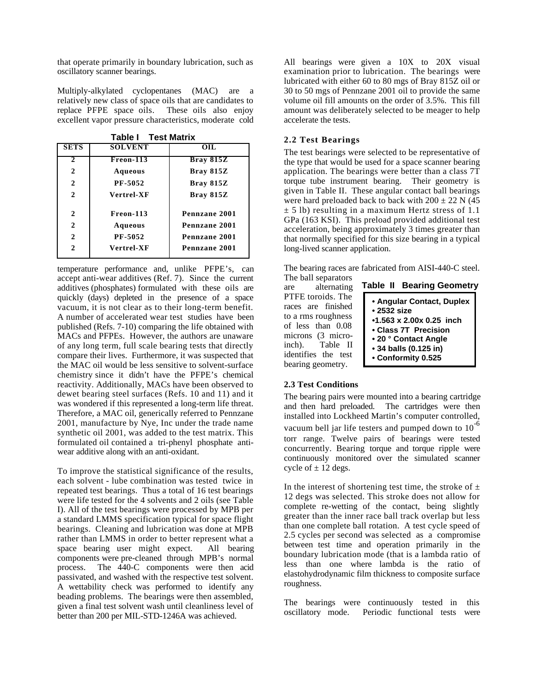that operate primarily in boundary lubrication, such as oscillatory scanner bearings.

Multiply-alkylated cyclopentanes (MAC) are a relatively new class of space oils that are candidates to replace PFPE space oils. These oils also enjoy excellent vapor pressure characteristics, moderate cold

| <b>Table I</b> Test Matrix |                |               |              |  |  |  |
|----------------------------|----------------|---------------|--------------|--|--|--|
| <b>SETS</b>                | <b>SOLVENT</b> | OIL           | The          |  |  |  |
| $\mathcal{L}$              | Freon-113      | Bray 815Z     | the t        |  |  |  |
| $\mathbf{2}$               | Aqueous        | Bray 815Z     | appl         |  |  |  |
| $\mathbf{2}$               | PF-5052        | Bray 815Z     | torqu        |  |  |  |
| $\mathbf{2}$               | Vertrel-XF     | Bray 815Z     | give<br>were |  |  |  |
| $\mathbf{2}$               | Freon-113      | Pennzane 2001 | ± 5<br>GPa   |  |  |  |
| $\mathbf{2}$               | <b>Aqueous</b> | Pennzane 2001 | acce         |  |  |  |
| $\mathbf{2}$               | PF-5052        | Pennzane 2001 | that         |  |  |  |
| 2                          | Vertrel-XF     | Pennzane 2001 | long         |  |  |  |

temperature performance and, unlike PFPE's, can accept anti-wear additives (Ref. 7). Since the current additives (phosphates) formulated with these oils are quickly (days) depleted in the presence of a space vacuum, it is not clear as to their long-term benefit. A number of accelerated wear test studies have been published (Refs. 7-10) comparing the life obtained with MACs and PFPEs. However, the authors are unaware of any long term, full scale bearing tests that directly compare their lives. Furthermore, it was suspected that the MAC oil would be less sensitive to solvent-surface chemistry since it didn't have the PFPE's chemical reactivity. Additionally, MACs have been observed to dewet bearing steel surfaces (Refs. 10 and 11) and it was wondered if this represented a long-term life threat. Therefore, a MAC oil, generically referred to Pennzane 2001, manufacture by Nye, Inc under the trade name synthetic oil 2001, was added to the test matrix. This formulated oil contained a tri-phenyl phosphate antiwear additive along with an anti-oxidant.

To improve the statistical significance of the results, each solvent - lube combination was tested twice in repeated test bearings. Thus a total of 16 test bearings were life tested for the 4 solvents and 2 oils (see Table I). All of the test bearings were processed by MPB per a standard LMMS specification typical for space flight bearings. Cleaning and lubrication was done at MPB rather than LMMS in order to better represent what a space bearing user might expect. All bearing components were pre-cleaned through MPB's normal process. The 440-C components were then acid passivated, and washed with the respective test solvent. A wettability check was performed to identify any beading problems. The bearings were then assembled, given a final test solvent wash until cleanliness level of better than 200 per MIL-STD-1246A was achieved.

All bearings were given a 10X to 20X visual examination prior to lubrication. The bearings were lubricated with either 60 to 80 mgs of Bray 815Z oil or 30 to 50 mgs of Pennzane 2001 oil to provide the same volume oil fill amounts on the order of 3.5%. This fill amount was deliberately selected to be meager to help accelerate the tests.

## **2.2 Test Bearings**

The test bearings were selected to be representative of the type that would be used for a space scanner bearing application. The bearings were better than a class 7T torque tube instrument bearing. Their geometry is given in Table II. These angular contact ball bearings were hard preloaded back to back with  $200 \pm 22$  N (45)  $\pm$  5 lb) resulting in a maximum Hertz stress of 1.1 GPa (163 KSI). This preload provided additional test acceleration, being approximately 3 times greater than that normally specified for this size bearing in a typical long-lived scanner application.

The bearing races are fabricated from AISI-440-C steel.

The ball separators are alternating PTFE toroids. The races are finished to a rms roughness of less than 0.08 microns (3 microinch). Table II identifies the test bearing geometry.

| <b>Table II Bearing Geometry</b> |  |  |  |  |  |  |
|----------------------------------|--|--|--|--|--|--|
| • Angular Contact, Duplex        |  |  |  |  |  |  |
| $\bullet$ 2532 size              |  |  |  |  |  |  |
| $\cdot$ 1.563 x 2.00x 0.25 inch  |  |  |  |  |  |  |
| • Class 7T Precision             |  |  |  |  |  |  |
| • 20 ° Contact Angle             |  |  |  |  |  |  |
| • 34 balls (0.125 in)            |  |  |  |  |  |  |
| • Conformity 0.525               |  |  |  |  |  |  |

## **2.3 Test Conditions**

The bearing pairs were mounted into a bearing cartridge and then hard preloaded. The cartridges were then installed into Lockheed Martin's computer controlled, vacuum bell jar life testers and pumped down to  $10^{-6}$ torr range. Twelve pairs of bearings were tested concurrently. Bearing torque and torque ripple were continuously monitored over the simulated scanner cycle of  $\pm$  12 degs.

In the interest of shortening test time, the stroke of  $\pm$ 12 degs was selected. This stroke does not allow for complete re-wetting of the contact, being slightly greater than the inner race ball track overlap but less than one complete ball rotation. A test cycle speed of 2.5 cycles per second was selected as a compromise between test time and operation primarily in the boundary lubrication mode (that is a lambda ratio of less than one where lambda is the ratio of elastohydrodynamic film thickness to composite surface roughness.

The bearings were continuously tested in this oscillatory mode. Periodic functional tests were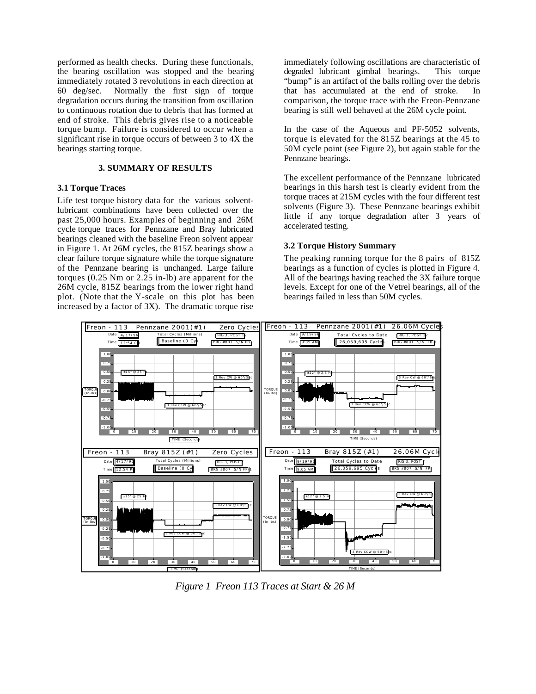performed as health checks. During these functionals, the bearing oscillation was stopped and the bearing immediately rotated 3 revolutions in each direction at 60 deg/sec. Normally the first sign of torque degradation occurs during the transition from oscillation to continuous rotation due to debris that has formed at end of stroke. This debris gives rise to a noticeable torque bump. Failure is considered to occur when a significant rise in torque occurs of between 3 to 4X the bearings starting torque.

#### **3. SUMMARY OF RESULTS**

#### **3.1 Torque Traces**

Life test torque history data for the various solventlubricant combinations have been collected over the past 25,000 hours. Examples of beginning and 26M cycle torque traces for Pennzane and Bray lubricated bearings cleaned with the baseline Freon solvent appear in Figure 1. At 26M cycles, the 815Z bearings show a clear failure torque signature while the torque signature of the Pennzane bearing is unchanged. Large failure torques (0.25 Nm or 2.25 in-lb) are apparent for the 26M cycle, 815Z bearings from the lower right hand plot. (Note that the Y-scale on this plot has been increased by a factor of 3X). The dramatic torque rise

immediately following oscillations are characteristic of degraded lubricant gimbal bearings. This torque "bump" is an artifact of the balls rolling over the debris that has accumulated at the end of stroke. In comparison, the torque trace with the Freon-Pennzane bearing is still well behaved at the 26M cycle point.

In the case of the Aqueous and PF-5052 solvents, torque is elevated for the 815Z bearings at the 45 to 50M cycle point (see Figure 2), but again stable for the Pennzane bearings.

The excellent performance of the Pennzane lubricated bearings in this harsh test is clearly evident from the torque traces at 215M cycles with the four different test solvents (Figure 3). These Pennzane bearings exhibit little if any torque degradation after 3 years of accelerated testing.

## **3.2 Torque History Summary**

The peaking running torque for the 8 pairs of 815Z bearings as a function of cycles is plotted in Figure 4. All of the bearings having reached the 3X failure torque levels. Except for one of the Vetrel bearings, all of the bearings failed in less than 50M cycles.



*Figure 1 Freon 113 Traces at Start & 26 M*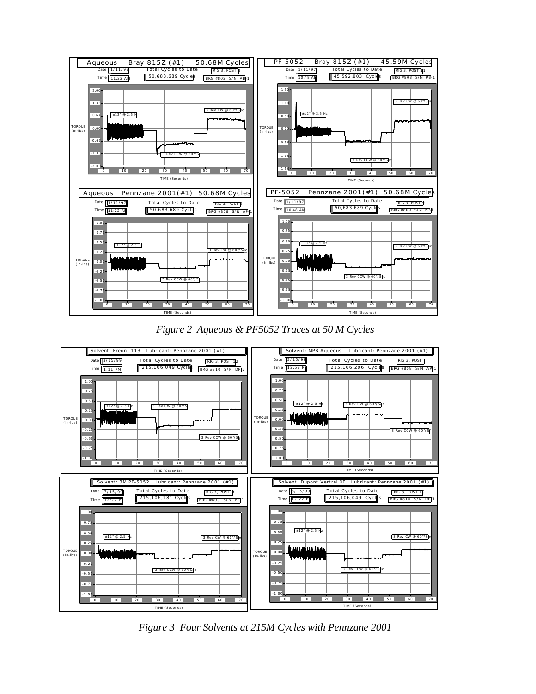

*Figure 2 Aqueous & PF5052 Traces at 50 M Cycles*



*Figure 3 Four Solvents at 215M Cycles with Pennzane 2001*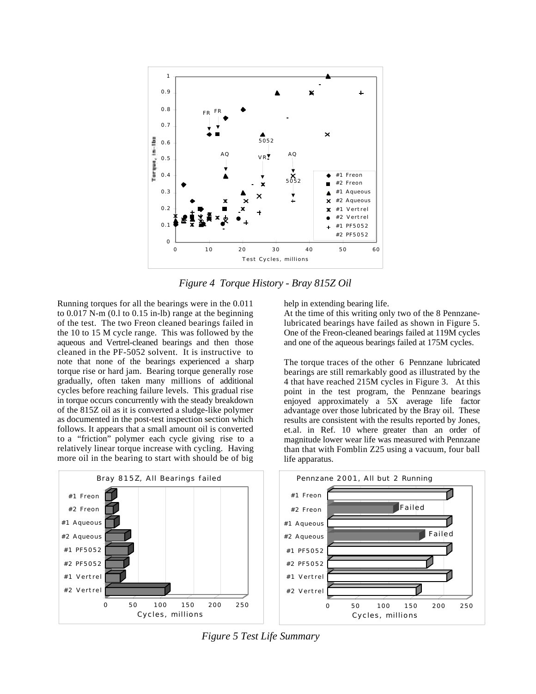

*Figure 4 Torque History - Bray 815Z Oil*

Running torques for all the bearings were in the 0.011 to 0.017 N-m (0.l to 0.15 in-lb) range at the beginning of the test. The two Freon cleaned bearings failed in the 10 to 15 M cycle range. This was followed by the aqueous and Vertrel-cleaned bearings and then those cleaned in the PF-5052 solvent. It is instructive to note that none of the bearings experienced a sharp torque rise or hard jam. Bearing torque generally rose gradually, often taken many millions of additional cycles before reaching failure levels. This gradual rise in torque occurs concurrently with the steady breakdown of the 815Z oil as it is converted a sludge-like polymer as documented in the post-test inspection section which follows. It appears that a small amount oil is converted to a "friction" polymer each cycle giving rise to a relatively linear torque increase with cycling. Having more oil in the bearing to start with should be of big help in extending bearing life.

At the time of this writing only two of the 8 Pennzanelubricated bearings have failed as shown in Figure 5. One of the Freon-cleaned bearings failed at 119M cycles and one of the aqueous bearings failed at 175M cycles.

The torque traces of the other 6 Pennzane lubricated bearings are still remarkably good as illustrated by the 4 that have reached 215M cycles in Figure 3. At this point in the test program, the Pennzane bearings enjoyed approximately a 5X average life factor advantage over those lubricated by the Bray oil. These results are consistent with the results reported by Jones, et.al. in Ref. 10 where greater than an order of magnitude lower wear life was measured with Pennzane than that with Fomblin Z25 using a vacuum, four ball life apparatus.



*Figure 5 Test Life Summary*